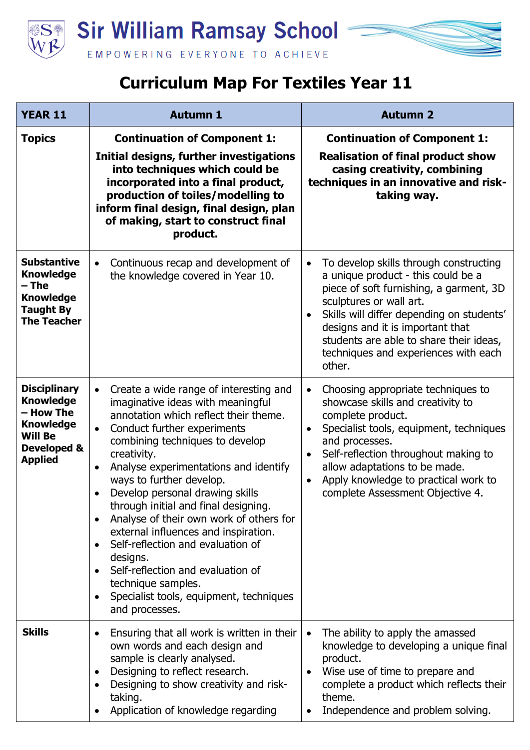

## **Curriculum Map For Textiles Year 11**

| <b>YEAR 11</b>                                                                                                                         | <b>Autumn 1</b>                                                                                                                                                                                                                                                                                                                                                                                                                                                                                                                                                                                                                                                       | <b>Autumn 2</b>                                                                                                                                                                                                                                                                                                                                                    |
|----------------------------------------------------------------------------------------------------------------------------------------|-----------------------------------------------------------------------------------------------------------------------------------------------------------------------------------------------------------------------------------------------------------------------------------------------------------------------------------------------------------------------------------------------------------------------------------------------------------------------------------------------------------------------------------------------------------------------------------------------------------------------------------------------------------------------|--------------------------------------------------------------------------------------------------------------------------------------------------------------------------------------------------------------------------------------------------------------------------------------------------------------------------------------------------------------------|
| <b>Topics</b>                                                                                                                          | <b>Continuation of Component 1:</b><br>Initial designs, further investigations<br>into techniques which could be<br>incorporated into a final product,<br>production of toiles/modelling to<br>inform final design, final design, plan<br>of making, start to construct final<br>product.                                                                                                                                                                                                                                                                                                                                                                             | <b>Continuation of Component 1:</b><br><b>Realisation of final product show</b><br>casing creativity, combining<br>techniques in an innovative and risk-<br>taking way.                                                                                                                                                                                            |
| <b>Substantive</b><br><b>Knowledge</b><br>– The<br><b>Knowledge</b><br><b>Taught By</b><br><b>The Teacher</b>                          | Continuous recap and development of<br>$\bullet$<br>the knowledge covered in Year 10.                                                                                                                                                                                                                                                                                                                                                                                                                                                                                                                                                                                 | To develop skills through constructing<br>$\bullet$<br>a unique product - this could be a<br>piece of soft furnishing, a garment, 3D<br>sculptures or wall art.<br>Skills will differ depending on students'<br>designs and it is important that<br>students are able to share their ideas,<br>techniques and experiences with each<br>other.                      |
| <b>Disciplinary</b><br><b>Knowledge</b><br>– How The<br><b>Knowledge</b><br><b>Will Be</b><br><b>Developed &amp;</b><br><b>Applied</b> | Create a wide range of interesting and<br>$\bullet$<br>imaginative ideas with meaningful<br>annotation which reflect their theme.<br>Conduct further experiments<br>$\bullet$<br>combining techniques to develop<br>creativity.<br>Analyse experimentations and identify<br>$\bullet$<br>ways to further develop.<br>Develop personal drawing skills<br>through initial and final designing.<br>Analyse of their own work of others for<br>external influences and inspiration.<br>Self-reflection and evaluation of<br>designs.<br>Self-reflection and evaluation of<br>technique samples.<br>Specialist tools, equipment, techniques<br>$\bullet$<br>and processes. | Choosing appropriate techniques to<br>$\bullet$<br>showcase skills and creativity to<br>complete product.<br>Specialist tools, equipment, techniques<br>$\bullet$<br>and processes.<br>Self-reflection throughout making to<br>$\bullet$<br>allow adaptations to be made.<br>Apply knowledge to practical work to<br>$\bullet$<br>complete Assessment Objective 4. |
| <b>Skills</b>                                                                                                                          | Ensuring that all work is written in their<br>$\bullet$<br>own words and each design and<br>sample is clearly analysed.<br>Designing to reflect research.<br>$\bullet$<br>Designing to show creativity and risk-<br>taking.<br>Application of knowledge regarding                                                                                                                                                                                                                                                                                                                                                                                                     | The ability to apply the amassed<br>$\bullet$<br>knowledge to developing a unique final<br>product.<br>Wise use of time to prepare and<br>$\bullet$<br>complete a product which reflects their<br>theme.<br>Independence and problem solving.                                                                                                                      |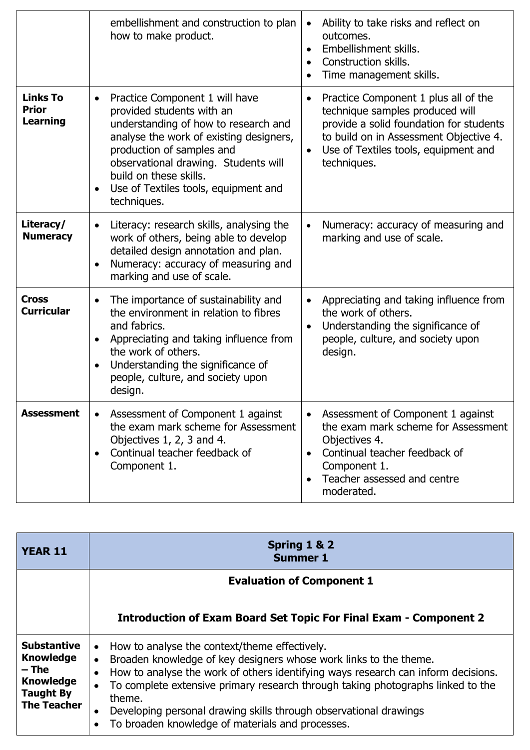|                                                    | embellishment and construction to plan<br>how to make product.                                                                                                                                                                                                                                                    | Ability to take risks and reflect on<br>$\bullet$<br>outcomes.<br>Embellishment skills.<br>$\bullet$<br>Construction skills.<br>$\bullet$<br>Time management skills.                                                                          |
|----------------------------------------------------|-------------------------------------------------------------------------------------------------------------------------------------------------------------------------------------------------------------------------------------------------------------------------------------------------------------------|-----------------------------------------------------------------------------------------------------------------------------------------------------------------------------------------------------------------------------------------------|
| <b>Links To</b><br><b>Prior</b><br><b>Learning</b> | Practice Component 1 will have<br>$\bullet$<br>provided students with an<br>understanding of how to research and<br>analyse the work of existing designers,<br>production of samples and<br>observational drawing. Students will<br>build on these skills.<br>Use of Textiles tools, equipment and<br>techniques. | Practice Component 1 plus all of the<br>$\bullet$<br>technique samples produced will<br>provide a solid foundation for students<br>to build on in Assessment Objective 4.<br>Use of Textiles tools, equipment and<br>$\bullet$<br>techniques. |
| Literacy/<br><b>Numeracy</b>                       | Literacy: research skills, analysing the<br>$\bullet$<br>work of others, being able to develop<br>detailed design annotation and plan.<br>Numeracy: accuracy of measuring and<br>marking and use of scale.                                                                                                        | Numeracy: accuracy of measuring and<br>$\bullet$<br>marking and use of scale.                                                                                                                                                                 |
| <b>Cross</b><br><b>Curricular</b>                  | The importance of sustainability and<br>$\bullet$<br>the environment in relation to fibres<br>and fabrics.<br>Appreciating and taking influence from<br>$\bullet$<br>the work of others.<br>Understanding the significance of<br>people, culture, and society upon<br>design.                                     | Appreciating and taking influence from<br>$\bullet$<br>the work of others.<br>Understanding the significance of<br>$\bullet$<br>people, culture, and society upon<br>design.                                                                  |
| <b>Assessment</b>                                  | Assessment of Component 1 against<br>the exam mark scheme for Assessment<br>Objectives 1, 2, 3 and 4.<br>Continual teacher feedback of<br>Component 1.                                                                                                                                                            | Assessment of Component 1 against<br>$\bullet$<br>the exam mark scheme for Assessment<br>Objectives 4.<br>Continual teacher feedback of<br>$\bullet$<br>Component 1.<br>Teacher assessed and centre<br>moderated.                             |

| <b>YEAR 11</b>                                                                                                  | Spring 1 & 2<br><b>Summer 1</b>                                                                                                                                                                                                                                                                                                                                                                                                                                      |  |
|-----------------------------------------------------------------------------------------------------------------|----------------------------------------------------------------------------------------------------------------------------------------------------------------------------------------------------------------------------------------------------------------------------------------------------------------------------------------------------------------------------------------------------------------------------------------------------------------------|--|
|                                                                                                                 | <b>Evaluation of Component 1</b>                                                                                                                                                                                                                                                                                                                                                                                                                                     |  |
|                                                                                                                 | <b>Introduction of Exam Board Set Topic For Final Exam - Component 2</b>                                                                                                                                                                                                                                                                                                                                                                                             |  |
| <b>Substantive</b><br><b>Knowledge</b><br>$-$ The<br><b>Knowledge</b><br><b>Taught By</b><br><b>The Teacher</b> | How to analyse the context/theme effectively.<br>Broaden knowledge of key designers whose work links to the theme.<br>$\bullet$<br>How to analyse the work of others identifying ways research can inform decisions.<br>To complete extensive primary research through taking photographs linked to the<br>$\bullet$<br>theme.<br>Developing personal drawing skills through observational drawings<br>$\bullet$<br>To broaden knowledge of materials and processes. |  |